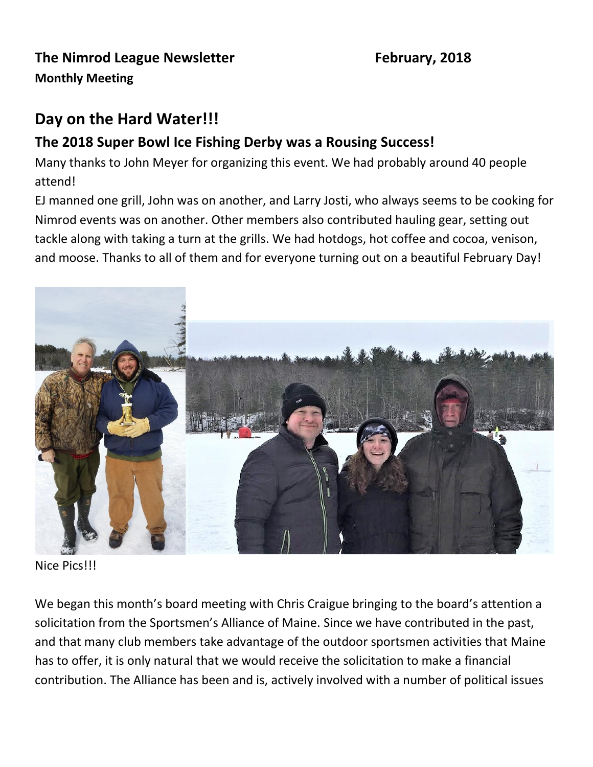## **The Nimrod League Newsletter February, 2018 Monthly Meeting**

## **Day on the Hard Water!!!**

### **The 2018 Super Bowl Ice Fishing Derby was a Rousing Success!**

Many thanks to John Meyer for organizing this event. We had probably around 40 people attend!

EJ manned one grill, John was on another, and Larry Josti, who always seems to be cooking for Nimrod events was on another. Other members also contributed hauling gear, setting out tackle along with taking a turn at the grills. We had hotdogs, hot coffee and cocoa, venison, and moose. Thanks to all of them and for everyone turning out on a beautiful February Day!



Nice Pics!!!

We began this month's board meeting with Chris Craigue bringing to the board's attention a solicitation from the Sportsmen's Alliance of Maine. Since we have contributed in the past, and that many club members take advantage of the outdoor sportsmen activities that Maine has to offer, it is only natural that we would receive the solicitation to make a financial contribution. The Alliance has been and is, actively involved with a number of political issues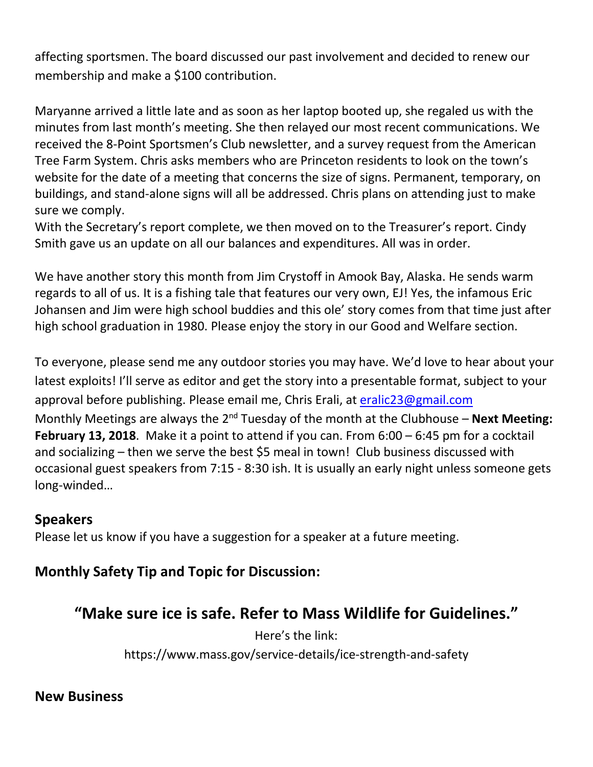affecting sportsmen. The board discussed our past involvement and decided to renew our membership and make a \$100 contribution.

Maryanne arrived a little late and as soon as her laptop booted up, she regaled us with the minutes from last month's meeting. She then relayed our most recent communications. We received the 8-Point Sportsmen's Club newsletter, and a survey request from the American Tree Farm System. Chris asks members who are Princeton residents to look on the town's website for the date of a meeting that concerns the size of signs. Permanent, temporary, on buildings, and stand-alone signs will all be addressed. Chris plans on attending just to make sure we comply.

With the Secretary's report complete, we then moved on to the Treasurer's report. Cindy Smith gave us an update on all our balances and expenditures. All was in order.

We have another story this month from Jim Crystoff in Amook Bay, Alaska. He sends warm regards to all of us. It is a fishing tale that features our very own, EJ! Yes, the infamous Eric Johansen and Jim were high school buddies and this ole' story comes from that time just after high school graduation in 1980. Please enjoy the story in our Good and Welfare section.

To everyone, please send me any outdoor stories you may have. We'd love to hear about your latest exploits! I'll serve as editor and get the story into a presentable format, subject to your approval before publishing. Please email me, Chris Erali, at [eralic23@gmail.com](mailto:eralic23@gmail.com) Monthly Meetings are always the 2<sup>nd</sup> Tuesday of the month at the Clubhouse – **Next Meeting: February 13, 2018**. Make it a point to attend if you can. From 6:00 – 6:45 pm for a cocktail and socializing – then we serve the best \$5 meal in town! Club business discussed with occasional guest speakers from 7:15 - 8:30 ish. It is usually an early night unless someone gets long-winded…

#### **Speakers**

Please let us know if you have a suggestion for a speaker at a future meeting.

#### **Monthly Safety Tip and Topic for Discussion:**

## **"Make sure ice is safe. Refer to Mass Wildlife for Guidelines."**

Here's the link:

https://www.mass.gov/service-details/ice-strength-and-safety

#### **New Business**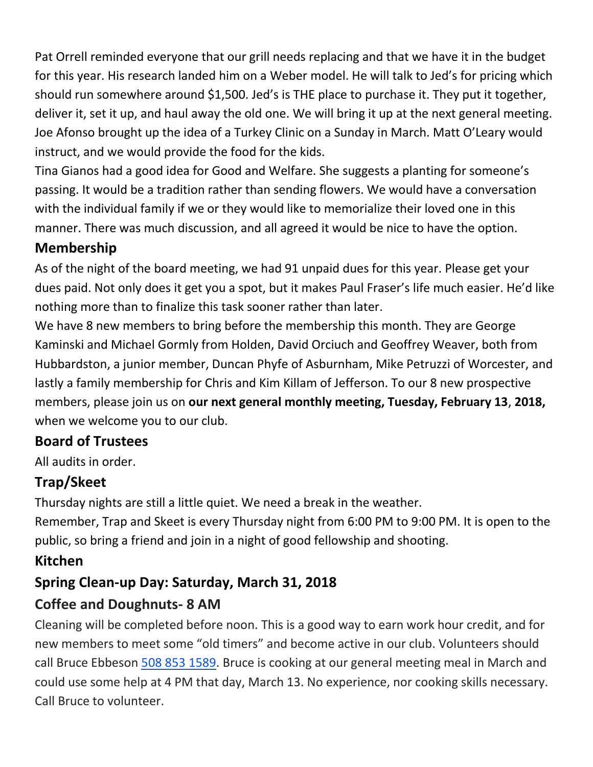Pat Orrell reminded everyone that our grill needs replacing and that we have it in the budget for this year. His research landed him on a Weber model. He will talk to Jed's for pricing which should run somewhere around \$1,500. Jed's is THE place to purchase it. They put it together, deliver it, set it up, and haul away the old one. We will bring it up at the next general meeting. Joe Afonso brought up the idea of a Turkey Clinic on a Sunday in March. Matt O'Leary would instruct, and we would provide the food for the kids.

Tina Gianos had a good idea for Good and Welfare. She suggests a planting for someone's passing. It would be a tradition rather than sending flowers. We would have a conversation with the individual family if we or they would like to memorialize their loved one in this manner. There was much discussion, and all agreed it would be nice to have the option.

#### **Membership**

As of the night of the board meeting, we had 91 unpaid dues for this year. Please get your dues paid. Not only does it get you a spot, but it makes Paul Fraser's life much easier. He'd like nothing more than to finalize this task sooner rather than later.

We have 8 new members to bring before the membership this month. They are George Kaminski and Michael Gormly from Holden, David Orciuch and Geoffrey Weaver, both from Hubbardston, a junior member, Duncan Phyfe of Asburnham, Mike Petruzzi of Worcester, and lastly a family membership for Chris and Kim Killam of Jefferson. To our 8 new prospective members, please join us on **our next general monthly meeting, Tuesday, February 13**, **2018,**  when we welcome you to our club.

## **Board of Trustees**

All audits in order.

## **Trap/Skeet**

Thursday nights are still a little quiet. We need a break in the weather.

Remember, Trap and Skeet is every Thursday night from 6:00 PM to 9:00 PM. It is open to the public, so bring a friend and join in a night of good fellowship and shooting.

## **Kitchen**

## **Spring Clean-up Day: Saturday, March 31, 2018**

## **Coffee and Doughnuts- 8 AM**

Cleaning will be completed before noon. This is a good way to earn work hour credit, and for new members to meet some "old timers" and become active in our club. Volunteers should call Bruce Ebbeson [508 853 1589.](tel:508%20853%201589) Bruce is cooking at our general meeting meal in March and could use some help at 4 PM that day, March 13. No experience, nor cooking skills necessary. Call Bruce to volunteer.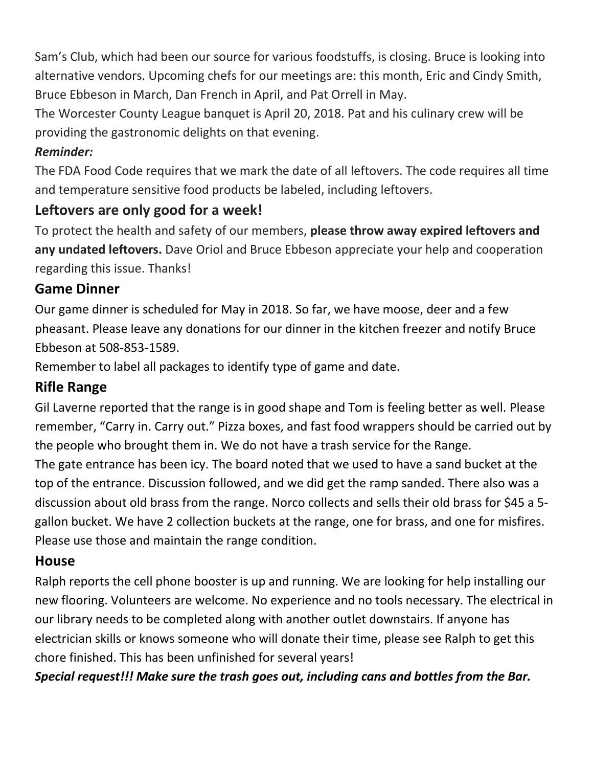Sam's Club, which had been our source for various foodstuffs, is closing. Bruce is looking into alternative vendors. Upcoming chefs for our meetings are: this month, Eric and Cindy Smith, Bruce Ebbeson in March, Dan French in April, and Pat Orrell in May.

The Worcester County League banquet is April 20, 2018. Pat and his culinary crew will be providing the gastronomic delights on that evening.

#### *Reminder:*

The FDA Food Code requires that we mark the date of all leftovers. The code requires all time and temperature sensitive food products be labeled, including leftovers.

### **Leftovers are only good for a week!**

To protect the health and safety of our members, **please throw away expired leftovers and any undated leftovers.** Dave Oriol and Bruce Ebbeson appreciate your help and cooperation regarding this issue. Thanks!

#### **Game Dinner**

Our game dinner is scheduled for May in 2018. So far, we have moose, deer and a few pheasant. Please leave any donations for our dinner in the kitchen freezer and notify Bruce Ebbeson at 508-853-1589.

Remember to label all packages to identify type of game and date.

## **Rifle Range**

Gil Laverne reported that the range is in good shape and Tom is feeling better as well. Please remember, "Carry in. Carry out." Pizza boxes, and fast food wrappers should be carried out by the people who brought them in. We do not have a trash service for the Range. The gate entrance has been icy. The board noted that we used to have a sand bucket at the top of the entrance. Discussion followed, and we did get the ramp sanded. There also was a discussion about old brass from the range. Norco collects and sells their old brass for \$45 a 5 gallon bucket. We have 2 collection buckets at the range, one for brass, and one for misfires. Please use those and maintain the range condition.

#### **House**

Ralph reports the cell phone booster is up and running. We are looking for help installing our new flooring. Volunteers are welcome. No experience and no tools necessary. The electrical in our library needs to be completed along with another outlet downstairs. If anyone has electrician skills or knows someone who will donate their time, please see Ralph to get this chore finished. This has been unfinished for several years!

*Special request!!! Make sure the trash goes out, including cans and bottles from the Bar.*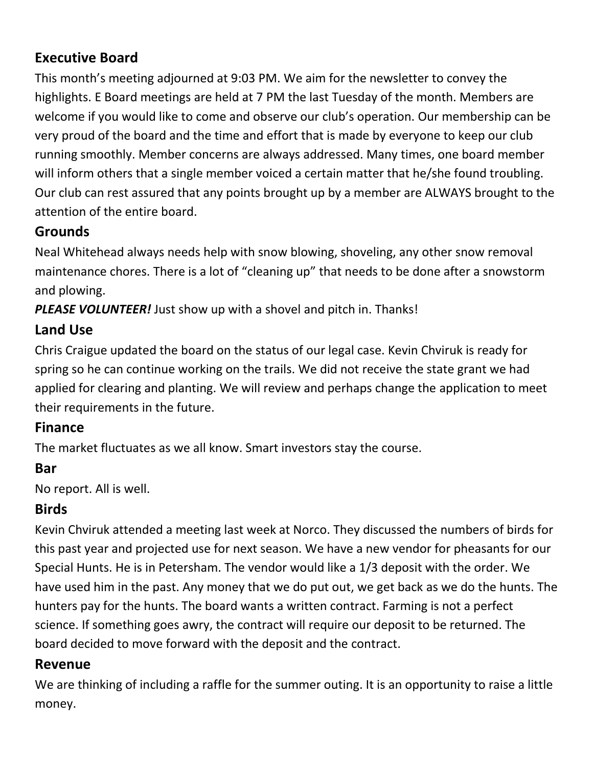## **Executive Board**

This month's meeting adjourned at 9:03 PM. We aim for the newsletter to convey the highlights. E Board meetings are held at 7 PM the last Tuesday of the month. Members are welcome if you would like to come and observe our club's operation. Our membership can be very proud of the board and the time and effort that is made by everyone to keep our club running smoothly. Member concerns are always addressed. Many times, one board member will inform others that a single member voiced a certain matter that he/she found troubling. Our club can rest assured that any points brought up by a member are ALWAYS brought to the attention of the entire board.

## **Grounds**

Neal Whitehead always needs help with snow blowing, shoveling, any other snow removal maintenance chores. There is a lot of "cleaning up" that needs to be done after a snowstorm and plowing.

*PLEASE VOLUNTEER!* Just show up with a shovel and pitch in. Thanks!

## **Land Use**

Chris Craigue updated the board on the status of our legal case. Kevin Chviruk is ready for spring so he can continue working on the trails. We did not receive the state grant we had applied for clearing and planting. We will review and perhaps change the application to meet their requirements in the future.

## **Finance**

The market fluctuates as we all know. Smart investors stay the course.

## **Bar**

No report. All is well.

## **Birds**

Kevin Chviruk attended a meeting last week at Norco. They discussed the numbers of birds for this past year and projected use for next season. We have a new vendor for pheasants for our Special Hunts. He is in Petersham. The vendor would like a 1/3 deposit with the order. We have used him in the past. Any money that we do put out, we get back as we do the hunts. The hunters pay for the hunts. The board wants a written contract. Farming is not a perfect science. If something goes awry, the contract will require our deposit to be returned. The board decided to move forward with the deposit and the contract.

## **Revenue**

We are thinking of including a raffle for the summer outing. It is an opportunity to raise a little money.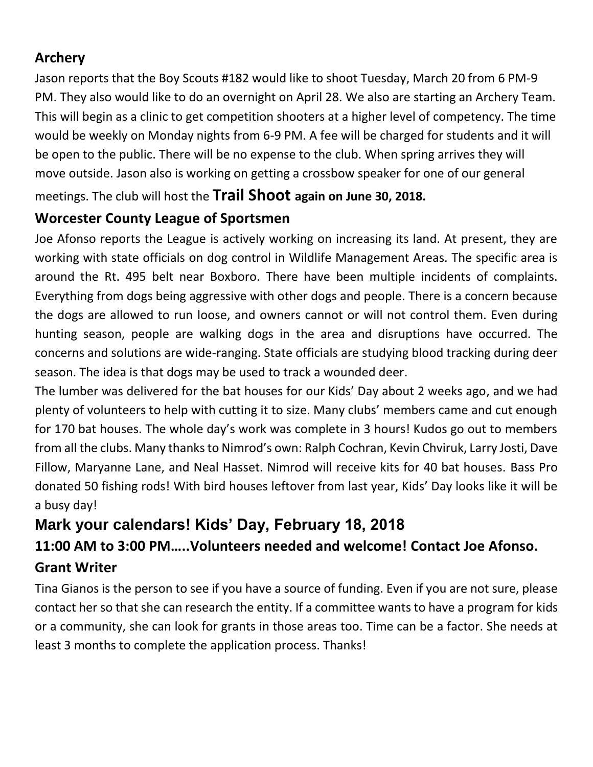### **Archery**

Jason reports that the Boy Scouts #182 would like to shoot Tuesday, March 20 from 6 PM-9 PM. They also would like to do an overnight on April 28. We also are starting an Archery Team. This will begin as a clinic to get competition shooters at a higher level of competency. The time would be weekly on Monday nights from 6-9 PM. A fee will be charged for students and it will be open to the public. There will be no expense to the club. When spring arrives they will move outside. Jason also is working on getting a crossbow speaker for one of our general

meetings. The club will host the **Trail Shoot again on June 30, 2018.**

### **Worcester County League of Sportsmen**

Joe Afonso reports the League is actively working on increasing its land. At present, they are working with state officials on dog control in Wildlife Management Areas. The specific area is around the Rt. 495 belt near Boxboro. There have been multiple incidents of complaints. Everything from dogs being aggressive with other dogs and people. There is a concern because the dogs are allowed to run loose, and owners cannot or will not control them. Even during hunting season, people are walking dogs in the area and disruptions have occurred. The concerns and solutions are wide-ranging. State officials are studying blood tracking during deer season. The idea is that dogs may be used to track a wounded deer.

The lumber was delivered for the bat houses for our Kids' Day about 2 weeks ago, and we had plenty of volunteers to help with cutting it to size. Many clubs' members came and cut enough for 170 bat houses. The whole day's work was complete in 3 hours! Kudos go out to members from all the clubs. Many thanks to Nimrod's own: Ralph Cochran, Kevin Chviruk, Larry Josti, Dave Fillow, Maryanne Lane, and Neal Hasset. Nimrod will receive kits for 40 bat houses. Bass Pro donated 50 fishing rods! With bird houses leftover from last year, Kids' Day looks like it will be a busy day!

# **Mark your calendars! Kids' Day, February 18, 2018**

## **11:00 AM to 3:00 PM…..Volunteers needed and welcome! Contact Joe Afonso.**

#### **Grant Writer**

Tina Gianos is the person to see if you have a source of funding. Even if you are not sure, please contact her so that she can research the entity. If a committee wants to have a program for kids or a community, she can look for grants in those areas too. Time can be a factor. She needs at least 3 months to complete the application process. Thanks!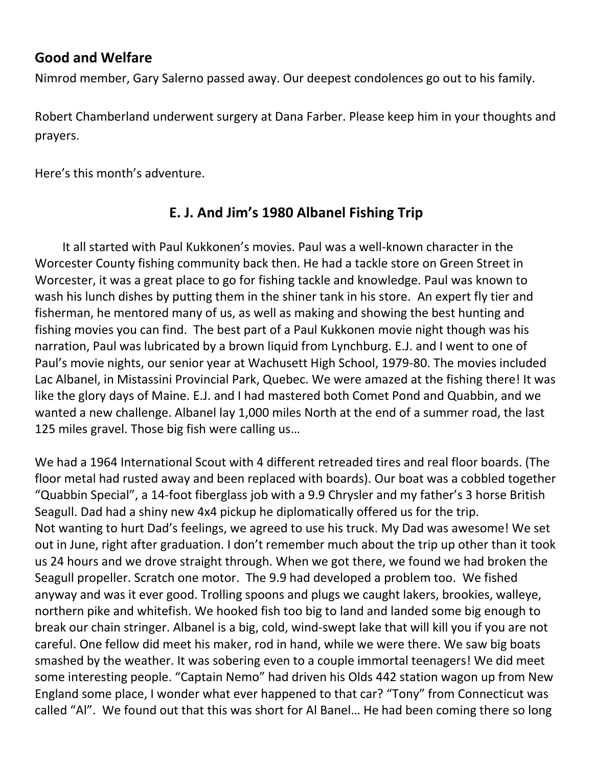#### **Good and Welfare**

Nimrod member, Gary Salerno passed away. Our deepest condolences go out to his family.

Robert Chamberland underwent surgery at Dana Farber. Please keep him in your thoughts and prayers.

Here's this month's adventure.

## **E. J. And Jim's 1980 Albanel Fishing Trip**

 It all started with Paul Kukkonen's movies. Paul was a well-known character in the Worcester County fishing community back then. He had a tackle store on Green Street in Worcester, it was a great place to go for fishing tackle and knowledge. Paul was known to wash his lunch dishes by putting them in the shiner tank in his store. An expert fly tier and fisherman, he mentored many of us, as well as making and showing the best hunting and fishing movies you can find. The best part of a Paul Kukkonen movie night though was his narration, Paul was lubricated by a brown liquid from Lynchburg. E.J. and I went to one of Paul's movie nights, our senior year at Wachusett High School, 1979-80. The movies included Lac Albanel, in Mistassini Provincial Park, Quebec. We were amazed at the fishing there! It was like the glory days of Maine. E.J. and I had mastered both Comet Pond and Quabbin, and we wanted a new challenge. Albanel lay 1,000 miles North at the end of a summer road, the last 125 miles gravel. Those big fish were calling us…

We had a 1964 International Scout with 4 different retreaded tires and real floor boards. (The floor metal had rusted away and been replaced with boards). Our boat was a cobbled together "Quabbin Special", a 14-foot fiberglass job with a 9.9 Chrysler and my father's 3 horse British Seagull. Dad had a shiny new 4x4 pickup he diplomatically offered us for the trip. Not wanting to hurt Dad's feelings, we agreed to use his truck. My Dad was awesome! We set out in June, right after graduation. I don't remember much about the trip up other than it took us 24 hours and we drove straight through. When we got there, we found we had broken the Seagull propeller. Scratch one motor. The 9.9 had developed a problem too. We fished anyway and was it ever good. Trolling spoons and plugs we caught lakers, brookies, walleye, northern pike and whitefish. We hooked fish too big to land and landed some big enough to break our chain stringer. Albanel is a big, cold, wind-swept lake that will kill you if you are not careful. One fellow did meet his maker, rod in hand, while we were there. We saw big boats smashed by the weather. It was sobering even to a couple immortal teenagers! We did meet some interesting people. "Captain Nemo" had driven his Olds 442 station wagon up from New England some place, I wonder what ever happened to that car? "Tony" from Connecticut was called "Al". We found out that this was short for Al Banel… He had been coming there so long